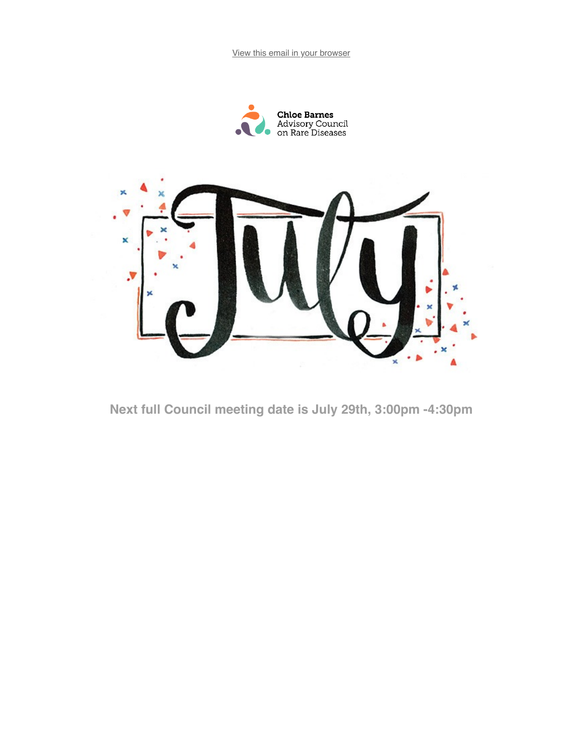View this email in your browser





Next full Council meeting date is July 29th, 3:00pm -4:30pm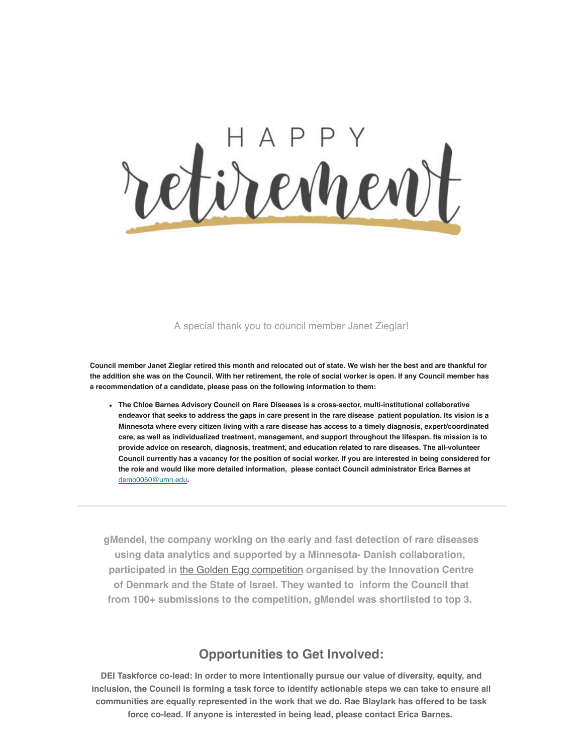

#### A special thank you to council member Janet Zieglar!

Council member Janet Zieglar retired this month and relocated out of state. We wish her the best and are thankful for the addition she was on the Council. With her retirement, the role of social worker is open. If any Council member has a recommendation of a candidate, please pass on the following information to them:

• The Chloe Barnes Advisory Council on Rare Diseases is a cross-sector, multi-institutional collaborative endeavor that seeks to address the gaps in care present in the rare disease patient population. Its vision is a Minnesota where every citizen living with a rare disease has access to a timely diagnosis, expert/coordinated care, as well as individualized treatment, management, and support throughout the lifespan. Its mission is to provide advice on research, diagnosis, treatment, and education related to rare diseases. The all-volunteer Council currently has a vacancy for the position of social worker. If you are interested in being considered for the role and would like more detailed information, please contact Council administrator Erica Barnes at demo0050@umn.edu.

gMendel, the company working on the early and fast detection of rare diseases using data analytics and supported by a Minnesota- Danish collaboration, participated in the Golden Egg competition organised by the Innovation Centre of Denmark and the State of Israel. They wanted to inform the Council that from 100+ submissions to the competition, gMendel was shortlisted to top 3.

#### **Opportunities to Get Involved:**

DEI Taskforce co-lead: In order to more intentionally pursue our value of diversity, equity, and inclusion, the Council is forming a task force to identify actionable steps we can take to ensure all communities are equally represented in the work that we do. Rae Blaylark has offered to be task force co-lead. If anyone is interested in being lead, please contact Erica Barnes.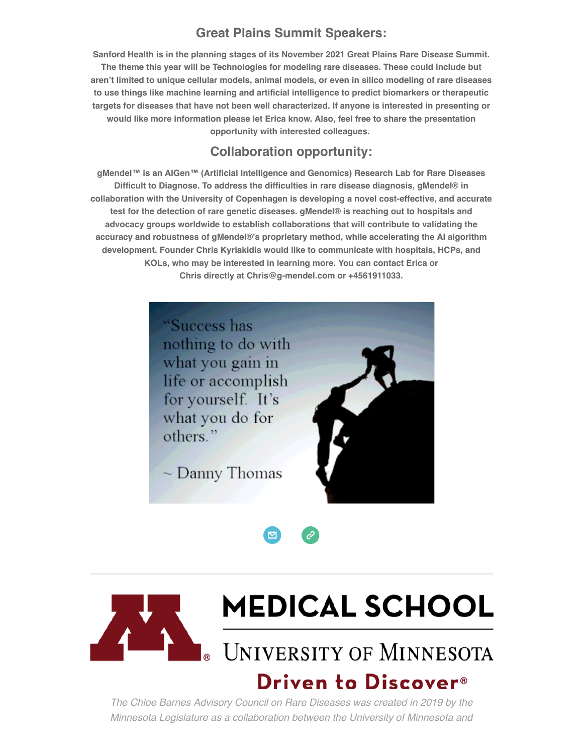### **Great Plains Summit Speakers:**

Sanford Health is in the planning stages of its November 2021 Great Plains Rare Disease Summit. The theme this year will be Technologies for modeling rare diseases. These could include but aren't limited to unique cellular models, animal models, or even in silico modeling of rare diseases to use things like machine learning and artificial intelligence to predict biomarkers or therapeutic targets for diseases that have not been well characterized. If anyone is interested in presenting or would like more information please let Erica know. Also, feel free to share the presentation opportunity with interested colleagues.

#### Collaboration opportunity:

gMendel™ is an AlGen™ (Artificial Intelligence and Genomics) Research Lab for Rare Diseases Difficult to Diagnose. To address the difficulties in rare disease diagnosis, gMendel® in collaboration with the University of Copenhagen is developing a novel cost-effective, and accurate test for the detection of rare genetic diseases. gMendel® is reaching out to hospitals and advocacy groups worldwide to establish collaborations that will contribute to validating the accuracy and robustness of gMendel®·s proprietary method, while accelerating the AI algorithm development. Founder Chris Kyriakidis would like to communicate with hospitals, HCPs, and KOLs, who may be interested in learning more. You can contact Erica or Chris directly at Chris@g-mendel.com or +4561911033.



 $\sim$  Danny Thomas







# **MEDICAL SCHOOL**

UNIVERSITY OF MINNESOTA

## **Driven to Discover<sup>®</sup>**

The Chloe Barnes Advisory Council on Rare Diseases was created in 2019 by the Minnesota Legislature as a collaboration between the University of Minnesota and